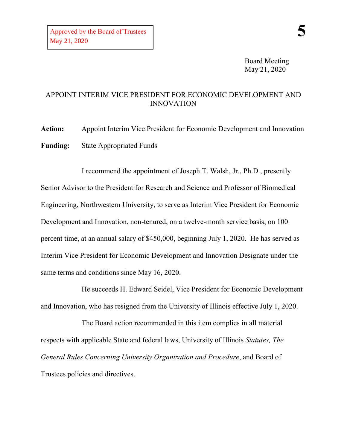Board Meeting May 21, 2020

## APPOINT INTERIM VICE PRESIDENT FOR ECONOMIC DEVELOPMENT AND INNOVATION

**Action:** Appoint Interim Vice President for Economic Development and Innovation **Funding:** State Appropriated Funds

I recommend the appointment of Joseph T. Walsh, Jr., Ph.D., presently Senior Advisor to the President for Research and Science and Professor of Biomedical Engineering, Northwestern University, to serve as Interim Vice President for Economic Development and Innovation, non-tenured, on a twelve-month service basis, on 100 percent time, at an annual salary of \$450,000, beginning July 1, 2020. He has served as Interim Vice President for Economic Development and Innovation Designate under the same terms and conditions since May 16, 2020.

He succeeds H. Edward Seidel, Vice President for Economic Development and Innovation, who has resigned from the University of Illinois effective July 1, 2020.

The Board action recommended in this item complies in all material respects with applicable State and federal laws, University of Illinois *Statutes, The General Rules Concerning University Organization and Procedure*, and Board of Trustees policies and directives.